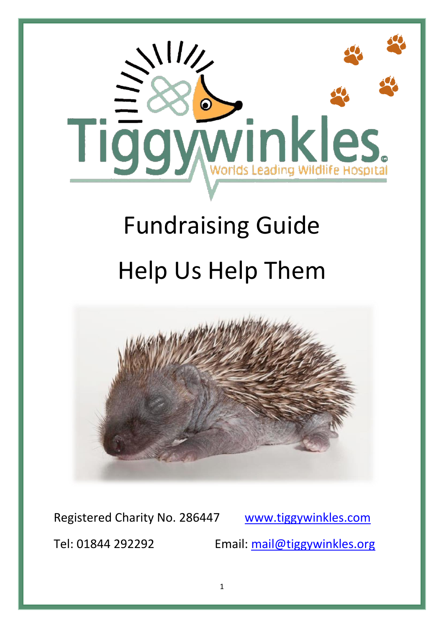

# Fundraising Guide Help Us Help Them



Registered Charity No. 286447 [www.tiggywinkles.com](http://www.tiggywinkles.com/)

Tel: 01844 292292 Email: [mail@tiggywinkles.org](mailto:mail@tiggywinkles.org)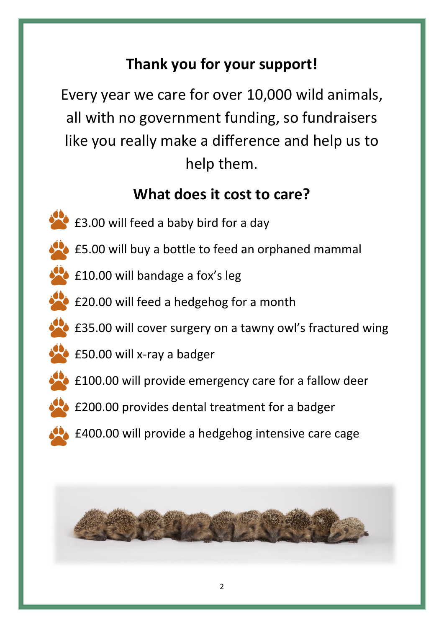# **Thank you for your support!**

Every year we care for over 10,000 wild animals, all with no government funding, so fundraisers like you really make a difference and help us to help them.

## **What does it cost to care?**

- **£3.00 will feed a baby bird for a day**
- **E5.00 will buy a bottle to feed an orphaned mammal**
- **E10.00 will bandage a fox's leg**
- **E20.00 will feed a hedgehog for a month**
- **E35.00 will cover surgery on a tawny owl's fractured wing**
- **E50.00 will x-ray a badger**
- £100.00 will provide emergency care for a fallow deer
- **E200.00 provides dental treatment for a badger**
- **▲ £400.00 will provide a hedgehog intensive care cage**

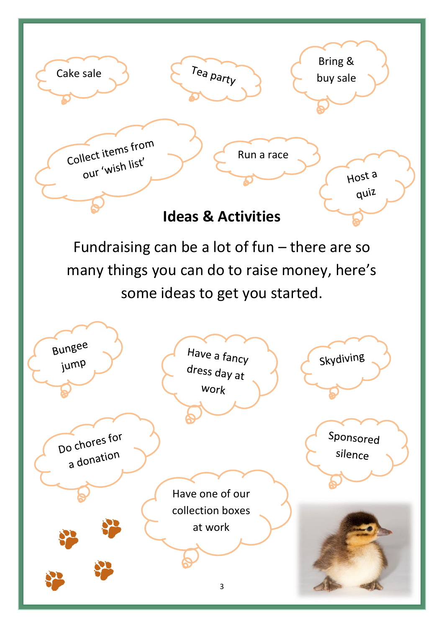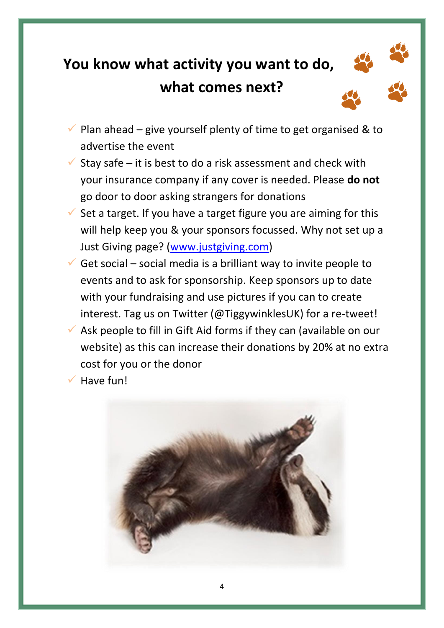# **You know what activity you want to do, what comes next?**





- Plan ahead give yourself plenty of time to get organised & to advertise the event
- Stay safe it is best to do a risk assessment and check with your insurance company if any cover is needed. Please **do not**  go door to door asking strangers for donations
- Set a target. If you have a target figure you are aiming for this will help keep you & your sponsors focussed. Why not set up a Just Giving page? [\(www.justgiving.com\)](http://www.justgiving.com/)
- Get social social media is a brilliant way to invite people to events and to ask for sponsorship. Keep sponsors up to date with your fundraising and use pictures if you can to create interest. Tag us on Twitter (@TiggywinklesUK) for a re-tweet!
- $\checkmark$  Ask people to fill in Gift Aid forms if they can (available on our website) as this can increase their donations by 20% at no extra cost for you or the donor
- Have fun!

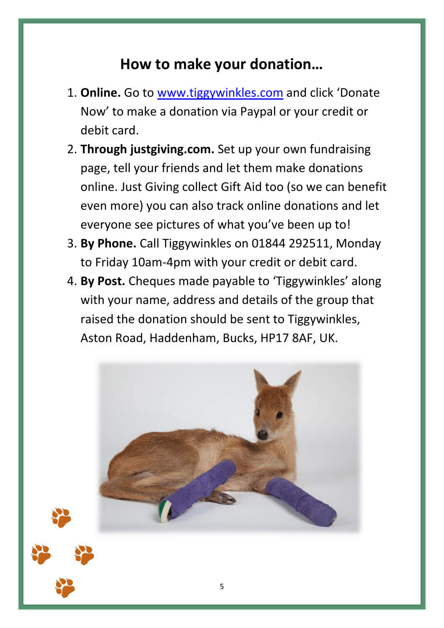#### **How to make your donation…**

- 1. **Online.** Go to [www.tiggywinkles.com](http://www.tiggywinkles.com/) and click 'Donate Now' to make a donation via Paypal or your credit or debit card.
- 2. **Through justgiving.com.** Set up your own fundraising page, tell your friends and let them make donations online. Just Giving collect Gift Aid too (so we can benefit even more) you can also track online donations and let everyone see pictures of what you've been up to!
- 3. **By Phone.** Call Tiggywinkles on 01844 292511, Monday to Friday 10am-4pm with your credit or debit card.
- 4. **By Post.** Cheques made payable to 'Tiggywinkles' along with your name, address and details of the group that raised the donation should be sent to Tiggywinkles, Aston Road, Haddenham, Bucks, HP17 8AF, UK.



5